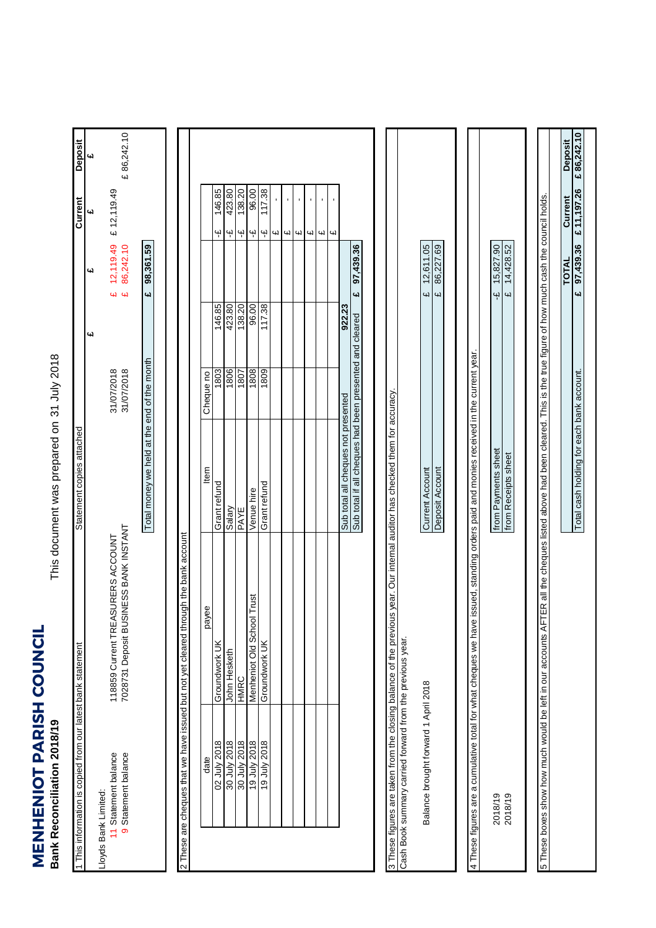**MENHENIOT PARISH COUNCIL**<br>Bank Reconciliation 2018/19 **MENHENIOT PARISH COUNCIL Bank Reconciliation 2018/19**

This document was prepared on 31 July 2018 This document was prepared on

| 5 These boxes show how much would be left in our accounts AFTER all the cheques listed above had been cleared. This is the true figure of how much cash the council holds.<br>97,439.36<br>14,428.52<br><b>TOTAL</b><br>یب<br><b>س</b><br>$\omega$ $\omega$<br>$\overline{\mathbf{u}}$<br><b>س</b><br>4<br>$\overline{u}$<br>$\ddot{ }$<br>$\overline{\mathbf{u}}$<br>146.85<br>423.80<br>138.20<br>96.00<br>117.38<br>922.23<br>Sub total if all cheques had been presented and cleared<br>4d<br>issued, standing orders paid and monies received in the current year.<br>Total money we held at the end of the month<br>1803<br>1809<br>31/07/2018<br>31/07/2018<br>1806<br>1808<br>Total cash holding for each bank account.<br>1807<br>Cheque no<br>3 These figures are taken from the closing balance of the previous year. Our internal auditor has checked them for accuracy<br>Sub total all cheques not presented<br>from Payments sheet<br>from Receipts sheet<br>ltem<br>Deposit Account<br><b>Current Account</b><br>Grant refund<br>Grant refund<br>Venue hire<br>Salary<br>PAYE<br>7028731 Deposit BUSINESS BANK INSTANT<br>2 These are cheques that we have issued but not yet cleared through the bank account<br>118859 Current TREASURERS ACCOUNT<br>Menheniot Old School Trust<br>payee<br>4 These figures are a cumulative total for what cheques we have<br>Cash Book summary carried forward from the previous year.<br>Groundwork UK<br>Groundwork UK<br>John Hesketh<br>HMRC<br>Balance brought forward 1 April 2018<br>19 July 2018<br>19 July 2018<br>02 July 2018<br>30 July 2018<br>30 July 2018<br>11 Statement balance<br>9 Statement balance<br>date<br>Lloyds Bank Limited:<br>2018/19<br>2018/19 | 1 This information is copied from our latest bank statement | Statement copies attached |  |                         | Current                                               | Deposit        |
|-----------------------------------------------------------------------------------------------------------------------------------------------------------------------------------------------------------------------------------------------------------------------------------------------------------------------------------------------------------------------------------------------------------------------------------------------------------------------------------------------------------------------------------------------------------------------------------------------------------------------------------------------------------------------------------------------------------------------------------------------------------------------------------------------------------------------------------------------------------------------------------------------------------------------------------------------------------------------------------------------------------------------------------------------------------------------------------------------------------------------------------------------------------------------------------------------------------------------------------------------------------------------------------------------------------------------------------------------------------------------------------------------------------------------------------------------------------------------------------------------------------------------------------------------------------------------------------------------------------------------------------------------------------------------------------------------------------------------------------|-------------------------------------------------------------|---------------------------|--|-------------------------|-------------------------------------------------------|----------------|
|                                                                                                                                                                                                                                                                                                                                                                                                                                                                                                                                                                                                                                                                                                                                                                                                                                                                                                                                                                                                                                                                                                                                                                                                                                                                                                                                                                                                                                                                                                                                                                                                                                                                                                                                   |                                                             |                           |  |                         | 41                                                    | ۵J             |
|                                                                                                                                                                                                                                                                                                                                                                                                                                                                                                                                                                                                                                                                                                                                                                                                                                                                                                                                                                                                                                                                                                                                                                                                                                                                                                                                                                                                                                                                                                                                                                                                                                                                                                                                   |                                                             |                           |  | 12, 119.49<br>86,242.10 | £ 12,119.49                                           | £86,242.10     |
|                                                                                                                                                                                                                                                                                                                                                                                                                                                                                                                                                                                                                                                                                                                                                                                                                                                                                                                                                                                                                                                                                                                                                                                                                                                                                                                                                                                                                                                                                                                                                                                                                                                                                                                                   |                                                             |                           |  | 98,361.59               |                                                       |                |
|                                                                                                                                                                                                                                                                                                                                                                                                                                                                                                                                                                                                                                                                                                                                                                                                                                                                                                                                                                                                                                                                                                                                                                                                                                                                                                                                                                                                                                                                                                                                                                                                                                                                                                                                   |                                                             |                           |  |                         |                                                       |                |
|                                                                                                                                                                                                                                                                                                                                                                                                                                                                                                                                                                                                                                                                                                                                                                                                                                                                                                                                                                                                                                                                                                                                                                                                                                                                                                                                                                                                                                                                                                                                                                                                                                                                                                                                   |                                                             |                           |  |                         |                                                       |                |
|                                                                                                                                                                                                                                                                                                                                                                                                                                                                                                                                                                                                                                                                                                                                                                                                                                                                                                                                                                                                                                                                                                                                                                                                                                                                                                                                                                                                                                                                                                                                                                                                                                                                                                                                   |                                                             |                           |  |                         | 146.85<br>Ψ                                           |                |
|                                                                                                                                                                                                                                                                                                                                                                                                                                                                                                                                                                                                                                                                                                                                                                                                                                                                                                                                                                                                                                                                                                                                                                                                                                                                                                                                                                                                                                                                                                                                                                                                                                                                                                                                   |                                                             |                           |  |                         | 423.80<br>Ψ                                           |                |
|                                                                                                                                                                                                                                                                                                                                                                                                                                                                                                                                                                                                                                                                                                                                                                                                                                                                                                                                                                                                                                                                                                                                                                                                                                                                                                                                                                                                                                                                                                                                                                                                                                                                                                                                   |                                                             |                           |  |                         | 138.20<br>Ψ                                           |                |
|                                                                                                                                                                                                                                                                                                                                                                                                                                                                                                                                                                                                                                                                                                                                                                                                                                                                                                                                                                                                                                                                                                                                                                                                                                                                                                                                                                                                                                                                                                                                                                                                                                                                                                                                   |                                                             |                           |  |                         | 96.00<br>Ψ                                            |                |
|                                                                                                                                                                                                                                                                                                                                                                                                                                                                                                                                                                                                                                                                                                                                                                                                                                                                                                                                                                                                                                                                                                                                                                                                                                                                                                                                                                                                                                                                                                                                                                                                                                                                                                                                   |                                                             |                           |  |                         | 117.38<br>$\ddot{\mathbf{r}}$                         |                |
|                                                                                                                                                                                                                                                                                                                                                                                                                                                                                                                                                                                                                                                                                                                                                                                                                                                                                                                                                                                                                                                                                                                                                                                                                                                                                                                                                                                                                                                                                                                                                                                                                                                                                                                                   |                                                             |                           |  |                         | $\overline{\phantom{a}}$<br>$\omega$<br>${\mathsf q}$ |                |
|                                                                                                                                                                                                                                                                                                                                                                                                                                                                                                                                                                                                                                                                                                                                                                                                                                                                                                                                                                                                                                                                                                                                                                                                                                                                                                                                                                                                                                                                                                                                                                                                                                                                                                                                   |                                                             |                           |  |                         | $\blacksquare$<br>$\mathbf{G}$                        |                |
|                                                                                                                                                                                                                                                                                                                                                                                                                                                                                                                                                                                                                                                                                                                                                                                                                                                                                                                                                                                                                                                                                                                                                                                                                                                                                                                                                                                                                                                                                                                                                                                                                                                                                                                                   |                                                             |                           |  |                         | ı<br>4                                                |                |
|                                                                                                                                                                                                                                                                                                                                                                                                                                                                                                                                                                                                                                                                                                                                                                                                                                                                                                                                                                                                                                                                                                                                                                                                                                                                                                                                                                                                                                                                                                                                                                                                                                                                                                                                   |                                                             |                           |  |                         | ı<br>$\omega$                                         |                |
|                                                                                                                                                                                                                                                                                                                                                                                                                                                                                                                                                                                                                                                                                                                                                                                                                                                                                                                                                                                                                                                                                                                                                                                                                                                                                                                                                                                                                                                                                                                                                                                                                                                                                                                                   |                                                             |                           |  |                         | $\blacksquare$<br>$\omega$                            |                |
|                                                                                                                                                                                                                                                                                                                                                                                                                                                                                                                                                                                                                                                                                                                                                                                                                                                                                                                                                                                                                                                                                                                                                                                                                                                                                                                                                                                                                                                                                                                                                                                                                                                                                                                                   |                                                             |                           |  |                         |                                                       |                |
|                                                                                                                                                                                                                                                                                                                                                                                                                                                                                                                                                                                                                                                                                                                                                                                                                                                                                                                                                                                                                                                                                                                                                                                                                                                                                                                                                                                                                                                                                                                                                                                                                                                                                                                                   |                                                             |                           |  | 97,439.36               |                                                       |                |
|                                                                                                                                                                                                                                                                                                                                                                                                                                                                                                                                                                                                                                                                                                                                                                                                                                                                                                                                                                                                                                                                                                                                                                                                                                                                                                                                                                                                                                                                                                                                                                                                                                                                                                                                   |                                                             |                           |  |                         |                                                       |                |
|                                                                                                                                                                                                                                                                                                                                                                                                                                                                                                                                                                                                                                                                                                                                                                                                                                                                                                                                                                                                                                                                                                                                                                                                                                                                                                                                                                                                                                                                                                                                                                                                                                                                                                                                   |                                                             |                           |  | 12.611.05               |                                                       |                |
|                                                                                                                                                                                                                                                                                                                                                                                                                                                                                                                                                                                                                                                                                                                                                                                                                                                                                                                                                                                                                                                                                                                                                                                                                                                                                                                                                                                                                                                                                                                                                                                                                                                                                                                                   |                                                             |                           |  | 86,227.69               |                                                       |                |
|                                                                                                                                                                                                                                                                                                                                                                                                                                                                                                                                                                                                                                                                                                                                                                                                                                                                                                                                                                                                                                                                                                                                                                                                                                                                                                                                                                                                                                                                                                                                                                                                                                                                                                                                   |                                                             |                           |  |                         |                                                       |                |
|                                                                                                                                                                                                                                                                                                                                                                                                                                                                                                                                                                                                                                                                                                                                                                                                                                                                                                                                                                                                                                                                                                                                                                                                                                                                                                                                                                                                                                                                                                                                                                                                                                                                                                                                   |                                                             |                           |  |                         |                                                       |                |
|                                                                                                                                                                                                                                                                                                                                                                                                                                                                                                                                                                                                                                                                                                                                                                                                                                                                                                                                                                                                                                                                                                                                                                                                                                                                                                                                                                                                                                                                                                                                                                                                                                                                                                                                   |                                                             |                           |  | 15,827.90               |                                                       |                |
|                                                                                                                                                                                                                                                                                                                                                                                                                                                                                                                                                                                                                                                                                                                                                                                                                                                                                                                                                                                                                                                                                                                                                                                                                                                                                                                                                                                                                                                                                                                                                                                                                                                                                                                                   |                                                             |                           |  |                         |                                                       |                |
|                                                                                                                                                                                                                                                                                                                                                                                                                                                                                                                                                                                                                                                                                                                                                                                                                                                                                                                                                                                                                                                                                                                                                                                                                                                                                                                                                                                                                                                                                                                                                                                                                                                                                                                                   |                                                             |                           |  |                         |                                                       |                |
|                                                                                                                                                                                                                                                                                                                                                                                                                                                                                                                                                                                                                                                                                                                                                                                                                                                                                                                                                                                                                                                                                                                                                                                                                                                                                                                                                                                                                                                                                                                                                                                                                                                                                                                                   |                                                             |                           |  |                         |                                                       |                |
|                                                                                                                                                                                                                                                                                                                                                                                                                                                                                                                                                                                                                                                                                                                                                                                                                                                                                                                                                                                                                                                                                                                                                                                                                                                                                                                                                                                                                                                                                                                                                                                                                                                                                                                                   |                                                             |                           |  |                         | Current                                               | <b>Deposit</b> |
|                                                                                                                                                                                                                                                                                                                                                                                                                                                                                                                                                                                                                                                                                                                                                                                                                                                                                                                                                                                                                                                                                                                                                                                                                                                                                                                                                                                                                                                                                                                                                                                                                                                                                                                                   |                                                             |                           |  |                         | £11,197.26                                            | E86,242.10     |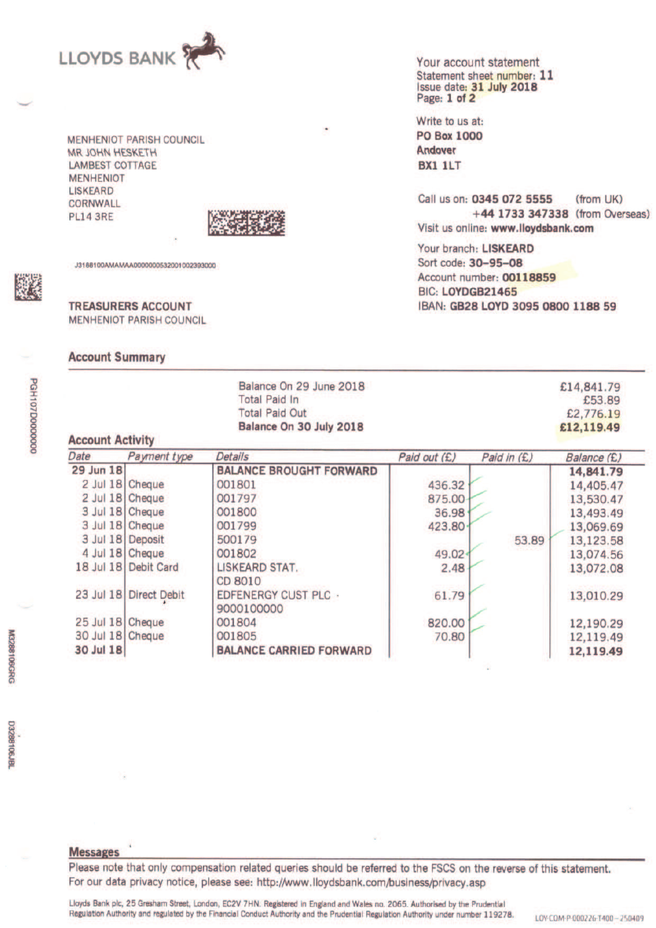

**MENHENIOT PARISH COUNCIL MR JOHN HESKETH LAMBEST COTTAGE MENHENIOT LISKEARD** CORNWALL **PL14 3RE** 



001805

J3188100AMAMAA0000000532001002393000

00000000201H5d

**TREASURERS ACCOUNT** 

**MENHENIOT PARISH COUNCIL** 

### **Account Summary**

30 Jul 18 Cheque

30 Jul 18

Your account statement Statement sheet number: 11 Issue date: 31 July 2018<br>Page: 1 of 2

Write to us at: **PO Box 1000 Andover BX1 1LT** 

70.80

Call us on: 0345 072 5555 (from UK) +44 1733 347338 (from Overseas) Visit us online: www.lloydsbank.com

Your branch: LISKEARD Sort code: 30-95-08 Account number: 00118859 BIC: LOYDGB21465 IBAN: GB28 LOYD 3095 0800 1188 59

| Balance On 29 June 2018<br><b>Total Paid In</b><br><b>Total Paid Out</b><br>Balance On 30 July 2018<br><b>Account Activity</b> |                        |                                           |              |             |             |
|--------------------------------------------------------------------------------------------------------------------------------|------------------------|-------------------------------------------|--------------|-------------|-------------|
| Date                                                                                                                           | Payment type           | <b>Details</b>                            | Paid out (£) | Paid in (£) | Balance (£) |
| 29 Jun 18                                                                                                                      |                        | <b>BALANCE BROUGHT FORWARD</b>            |              |             | 14,841.79   |
| 2 Jul 18 Cheque                                                                                                                |                        | 001801                                    | 436.32       |             | 14,405.47   |
| 2 Jul 18 Cheque                                                                                                                |                        | 001797                                    | 875.00       |             | 13,530.47   |
| 3 Jul 18 Cheque                                                                                                                |                        | 001800                                    | 36.98        |             | 13,493.49   |
| 3 Jul 18 Cheque                                                                                                                |                        | 001799                                    | 423.80       |             | 13,069.69   |
| 3 Jul 18 Deposit                                                                                                               |                        | 500179                                    |              | 53.89       | 13,123.58   |
| 4 Jul 18 Cheque                                                                                                                |                        | 001802                                    | 49.02        |             | 13,074.56   |
|                                                                                                                                | 18 Jul 18 Debit Card   | <b>LISKEARD STAT.</b><br>CD 8010          | 2.48         |             | 13,072.08   |
|                                                                                                                                | 23 Jul 18 Direct Debit | <b>EDFENERGY CUST PLC ·</b><br>9000100000 | 61.79        |             | 13,010.29   |
| 25 Jul 18 Cheque                                                                                                               |                        | 001804                                    | 820.00       |             | 12,190.29   |

**BL3288106JB** 

## **Messages**

Please note that only compensation related queries should be referred to the FSCS on the reverse of this statement. For our data privacy notice, please see: http://www.lloydsbank.com/business/privacy.asp

Lloyds Bank plc, 25 Gresham Street, London, EC2V 7HN. Registered in England and Wales no. 2065. Authorised by the Prudential Regulation Authority and regulated by the Financial Conduct Authority and the Prudential Regulation Authority under number 119278.

**BALANCE CARRIED FORWARD** 

12,119.49

12,119.49